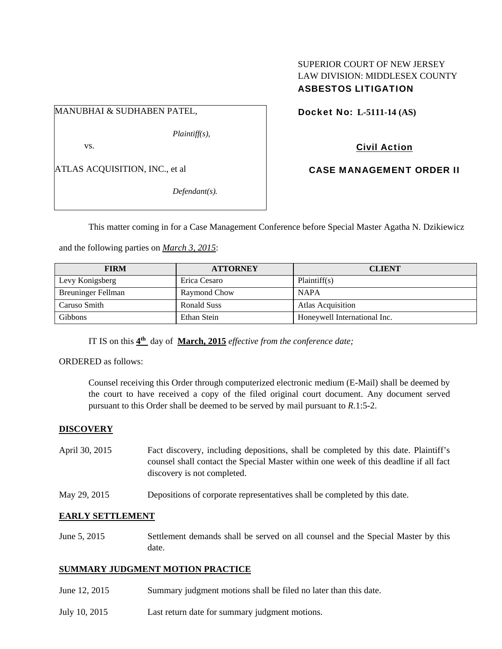# SUPERIOR COURT OF NEW JERSEY LAW DIVISION: MIDDLESEX COUNTY ASBESTOS LITIGATION

MANUBHAI & SUDHABEN PATEL,

*Plaintiff(s),* 

vs.

ATLAS ACQUISITION, INC., et al

*Defendant(s).* 

Docket No: **L-5111-14 (AS)** 

Civil Action

CASE MANAGEMENT ORDER II

This matter coming in for a Case Management Conference before Special Master Agatha N. Dzikiewicz

and the following parties on *March 3, 2015*:

| <b>FIRM</b>               | <b>ATTORNEY</b>     | <b>CLIENT</b>                |
|---------------------------|---------------------|------------------------------|
| Levy Konigsberg           | Erica Cesaro        | Plaintiff(s)                 |
| <b>Breuninger Fellman</b> | <b>Raymond Chow</b> | <b>NAPA</b>                  |
| Caruso Smith              | <b>Ronald Suss</b>  | <b>Atlas Acquisition</b>     |
| <b>Gibbons</b>            | Ethan Stein         | Honeywell International Inc. |

IT IS on this **4th** day of **March, 2015** *effective from the conference date;*

ORDERED as follows:

Counsel receiving this Order through computerized electronic medium (E-Mail) shall be deemed by the court to have received a copy of the filed original court document. Any document served pursuant to this Order shall be deemed to be served by mail pursuant to *R*.1:5-2.

## **DISCOVERY**

- April 30, 2015 Fact discovery, including depositions, shall be completed by this date. Plaintiff's counsel shall contact the Special Master within one week of this deadline if all fact discovery is not completed.
- May 29, 2015 Depositions of corporate representatives shall be completed by this date.

## **EARLY SETTLEMENT**

June 5, 2015 Settlement demands shall be served on all counsel and the Special Master by this date.

## **SUMMARY JUDGMENT MOTION PRACTICE**

- June 12, 2015 Summary judgment motions shall be filed no later than this date.
- July 10, 2015 Last return date for summary judgment motions.